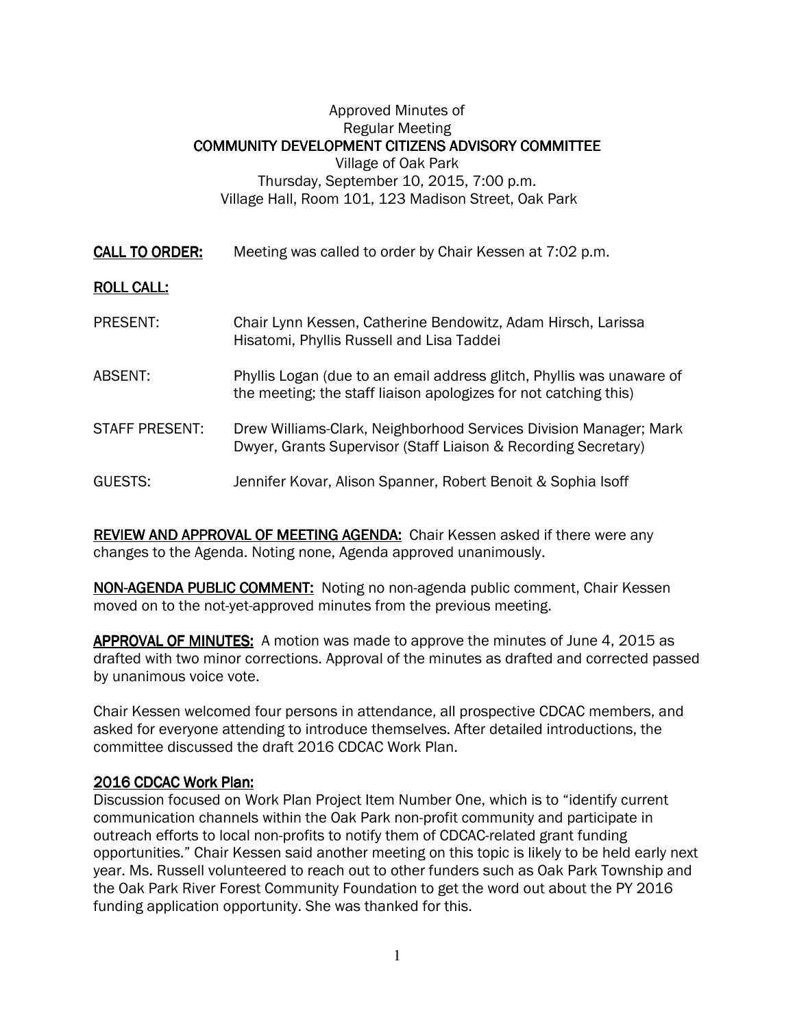## Approved Minutes of Regular Meeting COMMUNITY DEVELOPMENT CITIZENS ADVISORY COMMITTEE Village of Oak Park Thursday, September 10, 2015, 7:00 p.m. Village Hall, Room 101, 123 Madison Street, Oak Park

| <b>CALL TO ORDER:</b> | Meeting was called to order by Chair Kessen at 7:02 p.m.                                                                                  |
|-----------------------|-------------------------------------------------------------------------------------------------------------------------------------------|
| <b>ROLL CALL:</b>     |                                                                                                                                           |
| <b>PRESENT:</b>       | Chair Lynn Kessen, Catherine Bendowitz, Adam Hirsch, Larissa<br>Hisatomi, Phyllis Russell and Lisa Taddei                                 |
| ABSENT:               | Phyllis Logan (due to an email address glitch, Phyllis was unaware of<br>the meeting; the staff liaison apologizes for not catching this) |
| STAFF PRESENT:        | Drew Williams-Clark, Neighborhood Services Division Manager; Mark<br>Dwyer, Grants Supervisor (Staff Liaison & Recording Secretary)       |
| GUESTS:               | Jennifer Kovar, Alison Spanner, Robert Benoit & Sophia Isoff                                                                              |

REVIEW AND APPROVAL OF MEETING AGENDA: Chair Kessen asked if there were any changes to the Agenda. Noting none, Agenda approved unanimously.

NON-AGENDA PUBLIC COMMENT: Noting no non-agenda public comment, Chair Kessen moved on to the not-yet-approved minutes from the previous meeting.

APPROVAL OF MINUTES: A motion was made to approve the minutes of June 4, 2015 as drafted with two minor corrections. Approval of the minutes as drafted and corrected passed by unanimous voice vote.

Chair Kessen welcomed four persons in attendance, all prospective CDCAC members, and asked for everyone attending to introduce themselves. After detailed introductions, the committee discussed the draft 2016 CDCAC Work Plan.

## 2016 CDCAC Work Plan: 2016 CDCAC Work Plan:

Discussion focused on Work Plan Project Item Number One, which is to "identify current communication channels within the Oak Park non-profit community and participate in outreach efforts to local non-profits to notify them of CDCAC-related grant funding opportunities." Chair Kessen said another meeting on this topic is likely to be held early next year. Ms. Russell volunteered to reach out to other funders such as Oak Park Township and the Oak Park River Forest Community Foundation to get the word out about the PY 2016 funding application opportunity. She was thanked for this.